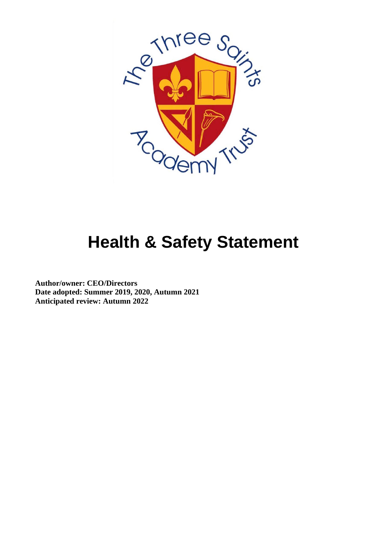

## **Health & Safety Statement**

**Author/owner: CEO/Directors Date adopted: Summer 2019, 2020, Autumn 2021 Anticipated review: Autumn 2022**